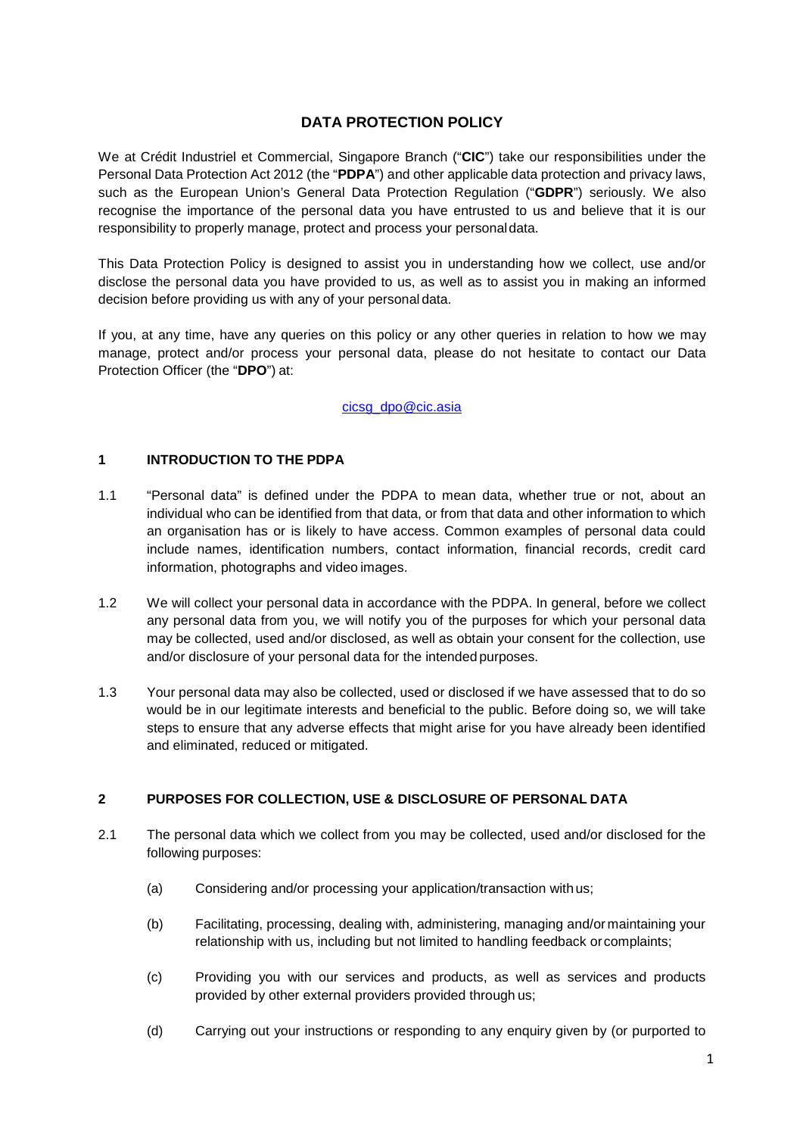# **DATA PROTECTION POLICY**

We at Crédit Industriel et Commercial, Singapore Branch ("**CIC**") take our responsibilities under the Personal Data Protection Act 2012 (the "**PDPA**") and other applicable data protection and privacy laws, such as the European Union's General Data Protection Regulation ("**GDPR**") seriously. We also recognise the importance of the personal data you have entrusted to us and believe that it is our responsibility to properly manage, protect and process your personaldata.

This Data Protection Policy is designed to assist you in understanding how we collect, use and/or disclose the personal data you have provided to us, as well as to assist you in making an informed decision before providing us with any of your personal data.

If you, at any time, have any queries on this policy or any other queries in relation to how we may manage, protect and/or process your personal data, please do not hesitate to contact our Data Protection Officer (the "**DPO**") at:

# [cicsg\\_dpo@cic.asia](mailto:cicsg_dpo@cic.asia)

# **1 INTRODUCTION TO THE PDPA**

- 1.1 "Personal data" is defined under the PDPA to mean data, whether true or not, about an individual who can be identified from that data, or from that data and other information to which an organisation has or is likely to have access. Common examples of personal data could include names, identification numbers, contact information, financial records, credit card information, photographs and video images.
- 1.2 We will collect your personal data in accordance with the PDPA. In general, before we collect any personal data from you, we will notify you of the purposes for which your personal data may be collected, used and/or disclosed, as well as obtain your consent for the collection, use and/or disclosure of your personal data for the intended purposes.
- 1.3 Your personal data may also be collected, used or disclosed if we have assessed that to do so would be in our legitimate interests and beneficial to the public. Before doing so, we will take steps to ensure that any adverse effects that might arise for you have already been identified and eliminated, reduced or mitigated.

# **2 PURPOSES FOR COLLECTION, USE & DISCLOSURE OF PERSONAL DATA**

- 2.1 The personal data which we collect from you may be collected, used and/or disclosed for the following purposes:
	- (a) Considering and/or processing your application/transaction withus;
	- (b) Facilitating, processing, dealing with, administering, managing and/or maintaining your relationship with us, including but not limited to handling feedback or complaints;
	- (c) Providing you with our services and products, as well as services and products provided by other external providers provided through us;
	- (d) Carrying out your instructions or responding to any enquiry given by (or purported to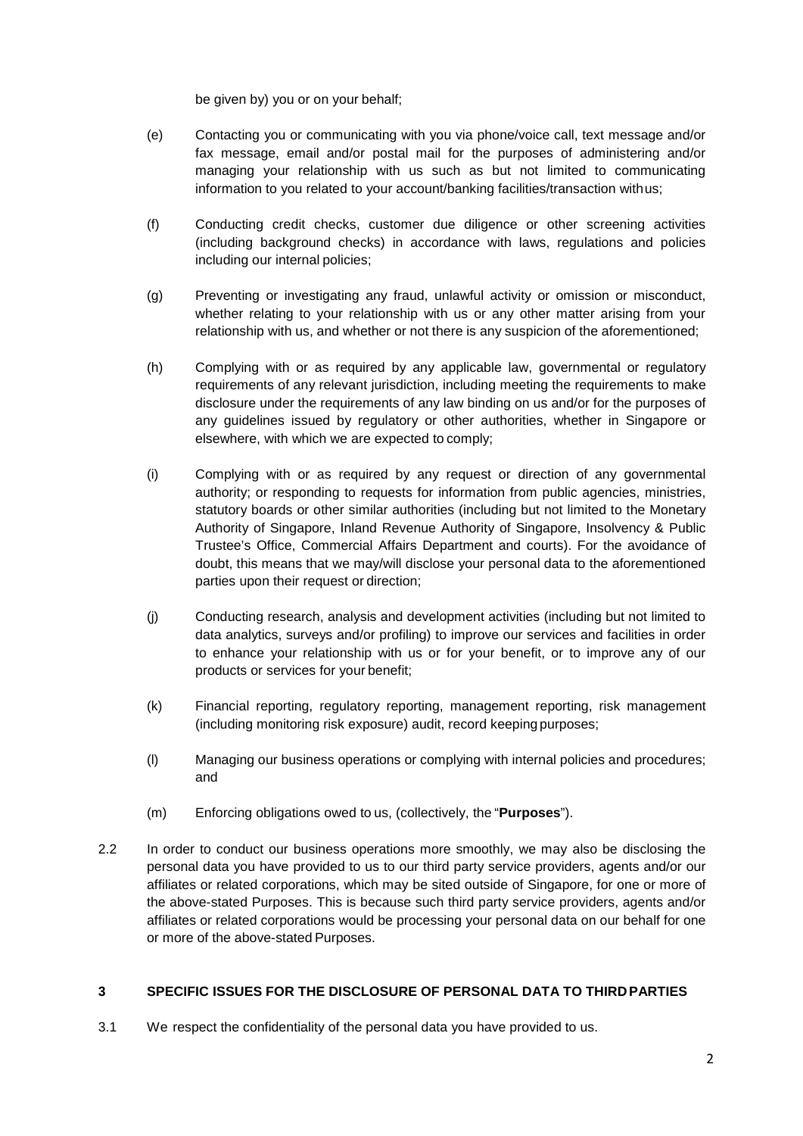be given by) you or on your behalf;

- (e) Contacting you or communicating with you via phone/voice call, text message and/or fax message, email and/or postal mail for the purposes of administering and/or managing your relationship with us such as but not limited to communicating information to you related to your account/banking facilities/transaction withus;
- (f) Conducting credit checks, customer due diligence or other screening activities (including background checks) in accordance with laws, regulations and policies including our internal policies;
- (g) Preventing or investigating any fraud, unlawful activity or omission or misconduct, whether relating to your relationship with us or any other matter arising from your relationship with us, and whether or not there is any suspicion of the aforementioned;
- (h) Complying with or as required by any applicable law, governmental or regulatory requirements of any relevant jurisdiction, including meeting the requirements to make disclosure under the requirements of any law binding on us and/or for the purposes of any guidelines issued by regulatory or other authorities, whether in Singapore or elsewhere, with which we are expected to comply;
- (i) Complying with or as required by any request or direction of any governmental authority; or responding to requests for information from public agencies, ministries, statutory boards or other similar authorities (including but not limited to the Monetary Authority of Singapore, Inland Revenue Authority of Singapore, Insolvency & Public Trustee's Office, Commercial Affairs Department and courts). For the avoidance of doubt, this means that we may/will disclose your personal data to the aforementioned parties upon their request or direction;
- (j) Conducting research, analysis and development activities (including but not limited to data analytics, surveys and/or profiling) to improve our services and facilities in order to enhance your relationship with us or for your benefit, or to improve any of our products or services for your benefit;
- (k) Financial reporting, regulatory reporting, management reporting, risk management (including monitoring risk exposure) audit, record keeping purposes;
- (l) Managing our business operations or complying with internal policies and procedures; and
- (m) Enforcing obligations owed to us, (collectively, the "**Purposes**").
- 2.2 In order to conduct our business operations more smoothly, we may also be disclosing the personal data you have provided to us to our third party service providers, agents and/or our affiliates or related corporations, which may be sited outside of Singapore, for one or more of the above-stated Purposes. This is because such third party service providers, agents and/or affiliates or related corporations would be processing your personal data on our behalf for one or more of the above-stated Purposes.

# **3 SPECIFIC ISSUES FOR THE DISCLOSURE OF PERSONAL DATA TO THIRDPARTIES**

3.1 We respect the confidentiality of the personal data you have provided to us.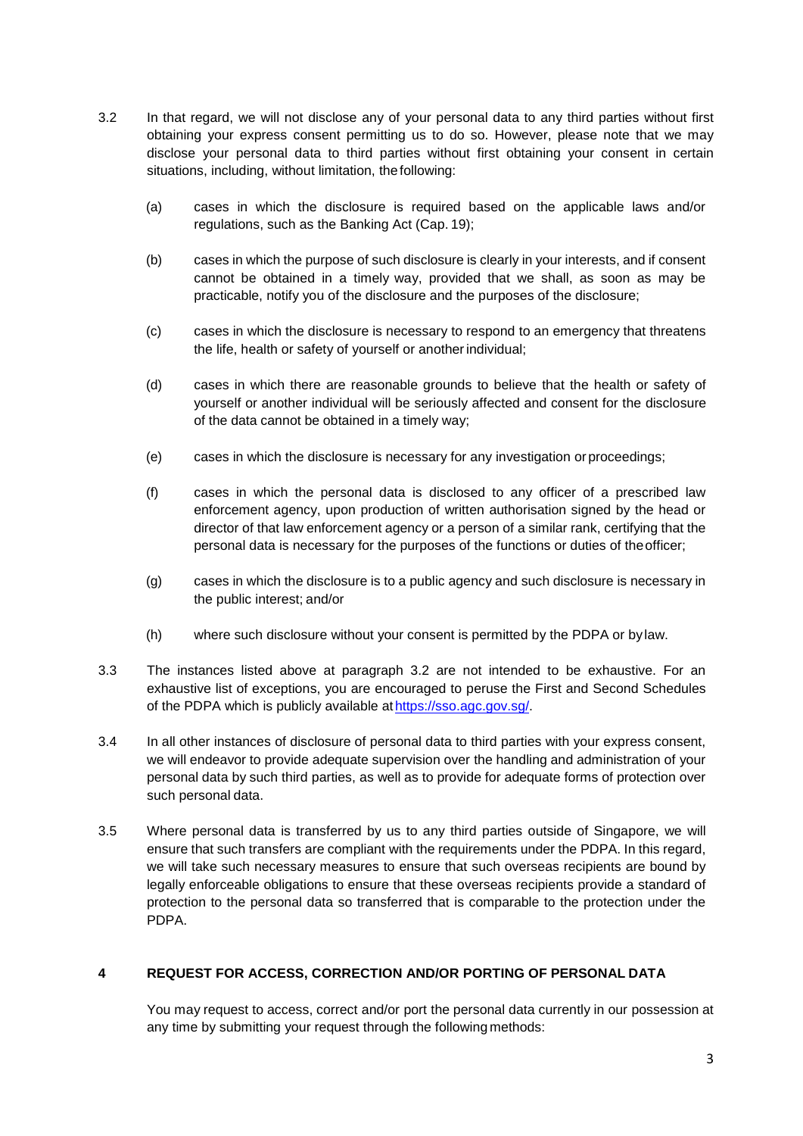- 3.2 In that regard, we will not disclose any of your personal data to any third parties without first obtaining your express consent permitting us to do so. However, please note that we may disclose your personal data to third parties without first obtaining your consent in certain situations, including, without limitation, the following:
	- (a) cases in which the disclosure is required based on the applicable laws and/or regulations, such as the Banking Act (Cap. 19);
	- (b) cases in which the purpose of such disclosure is clearly in your interests, and if consent cannot be obtained in a timely way, provided that we shall, as soon as may be practicable, notify you of the disclosure and the purposes of the disclosure;
	- (c) cases in which the disclosure is necessary to respond to an emergency that threatens the life, health or safety of yourself or anotherindividual;
	- (d) cases in which there are reasonable grounds to believe that the health or safety of yourself or another individual will be seriously affected and consent for the disclosure of the data cannot be obtained in a timely way;
	- (e) cases in which the disclosure is necessary for any investigation or proceedings;
	- (f) cases in which the personal data is disclosed to any officer of a prescribed law enforcement agency, upon production of written authorisation signed by the head or director of that law enforcement agency or a person of a similar rank, certifying that the personal data is necessary for the purposes of the functions or duties of theofficer;
	- (g) cases in which the disclosure is to a public agency and such disclosure is necessary in the public interest; and/or
	- (h) where such disclosure without your consent is permitted by the PDPA or bylaw.
- 3.3 The instances listed above at paragraph 3.2 are not intended to be exhaustive. For an exhaustive list of exceptions, you are encouraged to peruse the First and Second Schedules of the PDPA which is publicly available at https://sso.agc.gov.sg/.
- 3.4 In all other instances of disclosure of personal data to third parties with your express consent, we will endeavor to provide adequate supervision over the handling and administration of your personal data by such third parties, as well as to provide for adequate forms of protection over such personal data.
- 3.5 Where personal data is transferred by us to any third parties outside of Singapore, we will ensure that such transfers are compliant with the requirements under the PDPA. In this regard, we will take such necessary measures to ensure that such overseas recipients are bound by legally enforceable obligations to ensure that these overseas recipients provide a standard of protection to the personal data so transferred that is comparable to the protection under the PDPA.

# **4 REQUEST FOR ACCESS, CORRECTION AND/OR PORTING OF PERSONAL DATA**

You may request to access, correct and/or port the personal data currently in our possession at any time by submitting your request through the following methods: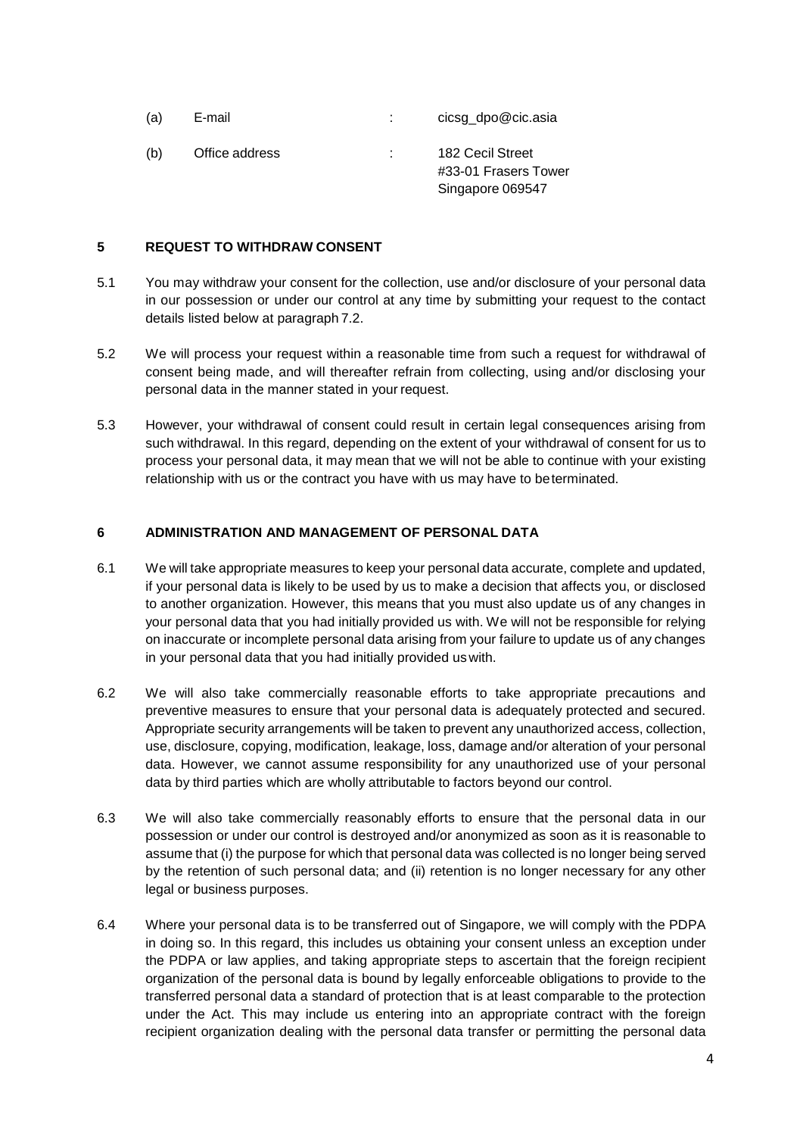| (a) | E-mail         | cicsg_dpo@cic.asia                                           |
|-----|----------------|--------------------------------------------------------------|
| (b) | Office address | 182 Cecil Street<br>#33-01 Frasers Tower<br>Singapore 069547 |

#### **5 REQUEST TO WITHDRAW CONSENT**

- 5.1 You may withdraw your consent for the collection, use and/or disclosure of your personal data in our possession or under our control at any time by submitting your request to the contact details listed below at paragraph 7.2.
- 5.2 We will process your request within a reasonable time from such a request for withdrawal of consent being made, and will thereafter refrain from collecting, using and/or disclosing your personal data in the manner stated in your request.
- 5.3 However, your withdrawal of consent could result in certain legal consequences arising from such withdrawal. In this regard, depending on the extent of your withdrawal of consent for us to process your personal data, it may mean that we will not be able to continue with your existing relationship with us or the contract you have with us may have to beterminated.

# **6 ADMINISTRATION AND MANAGEMENT OF PERSONAL DATA**

- 6.1 We will take appropriate measures to keep your personal data accurate, complete and updated, if your personal data is likely to be used by us to make a decision that affects you, or disclosed to another organization. However, this means that you must also update us of any changes in your personal data that you had initially provided us with. We will not be responsible for relying on inaccurate or incomplete personal data arising from your failure to update us of any changes in your personal data that you had initially provided us with.
- 6.2 We will also take commercially reasonable efforts to take appropriate precautions and preventive measures to ensure that your personal data is adequately protected and secured. Appropriate security arrangements will be taken to prevent any unauthorized access, collection, use, disclosure, copying, modification, leakage, loss, damage and/or alteration of your personal data. However, we cannot assume responsibility for any unauthorized use of your personal data by third parties which are wholly attributable to factors beyond our control.
- 6.3 We will also take commercially reasonably efforts to ensure that the personal data in our possession or under our control is destroyed and/or anonymized as soon as it is reasonable to assume that (i) the purpose for which that personal data was collected is no longer being served by the retention of such personal data; and (ii) retention is no longer necessary for any other legal or business purposes.
- 6.4 Where your personal data is to be transferred out of Singapore, we will comply with the PDPA in doing so. In this regard, this includes us obtaining your consent unless an exception under the PDPA or law applies, and taking appropriate steps to ascertain that the foreign recipient organization of the personal data is bound by legally enforceable obligations to provide to the transferred personal data a standard of protection that is at least comparable to the protection under the Act. This may include us entering into an appropriate contract with the foreign recipient organization dealing with the personal data transfer or permitting the personal data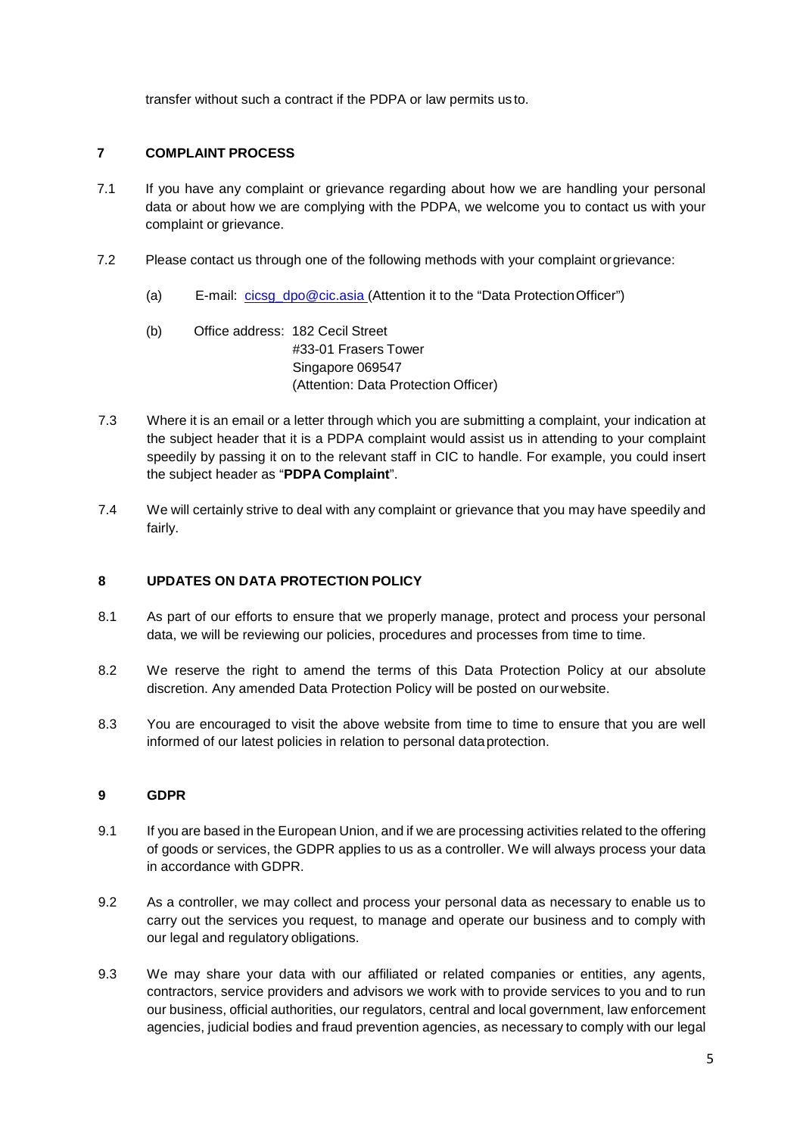transfer without such a contract if the PDPA or law permits us to.

# **7 COMPLAINT PROCESS**

- 7.1 If you have any complaint or grievance regarding about how we are handling your personal data or about how we are complying with the PDPA, we welcome you to contact us with your complaint or grievance.
- 7.2 Please contact us through one of the following methods with your complaint orgrievance:
	- (a) E-mail: [cicsg\\_dpo@cic.asia \(](mailto:cicsg_dpo@cic.asia)Attention it to the "Data ProtectionOfficer")
	- (b) Office address: 182 Cecil Street #33-01 Frasers Tower Singapore 069547 (Attention: Data Protection Officer)
- 7.3 Where it is an email or a letter through which you are submitting a complaint, your indication at the subject header that it is a PDPA complaint would assist us in attending to your complaint speedily by passing it on to the relevant staff in CIC to handle. For example, you could insert the subject header as "**PDPA Complaint**".
- 7.4 We will certainly strive to deal with any complaint or grievance that you may have speedily and fairly.

# **8 UPDATES ON DATA PROTECTION POLICY**

- 8.1 As part of our efforts to ensure that we properly manage, protect and process your personal data, we will be reviewing our policies, procedures and processes from time to time.
- 8.2 We reserve the right to amend the terms of this Data Protection Policy at our absolute discretion. Any amended Data Protection Policy will be posted on ourwebsite.
- 8.3 You are encouraged to visit the above website from time to time to ensure that you are well informed of our latest policies in relation to personal dataprotection.

# **9 GDPR**

- 9.1 If you are based in the European Union, and if we are processing activities related to the offering of goods or services, the GDPR applies to us as a controller. We will always process your data in accordance with GDPR.
- 9.2 As a controller, we may collect and process your personal data as necessary to enable us to carry out the services you request, to manage and operate our business and to comply with our legal and regulatory obligations.
- 9.3 We may share your data with our affiliated or related companies or entities, any agents, contractors, service providers and advisors we work with to provide services to you and to run our business, official authorities, our regulators, central and local government, law enforcement agencies, judicial bodies and fraud prevention agencies, as necessary to comply with our legal